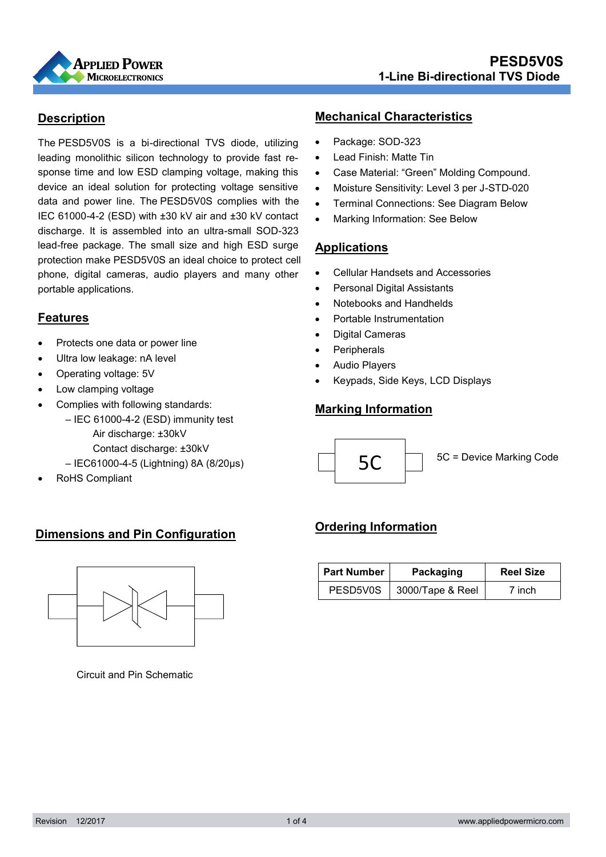

## **Description**

protection make PESD5V0S an ideal choice to protect cell data and power line. The PESD5V0S complies with the The PESD5V0S is a bi -directional TVS diode, utilizing leading monolithic silicon technology to provide fast response time and low ESD clamping voltage, making this device an ideal solution for protecting voltage sensitive IEC 61000-4-2 (ESD) with ±30 kV air and ±30 kV contact discharge. It is assembled into an ultra-small SOD-323 lead-free package. The small size and high ESD surge phone, digital cameras, audio players and many other portable applications.

## **Features**

- Protects one data or power line
- Ultra low leakage: nA level
- Operating voltage: 5V
- Low clamping voltage
- Complies with following standards:
	- IEC 61000-4-2 (ESD) immunity test Air discharge: ±30kV Contact discharge: ±30kV
	- IEC61000-4-5 (Lightning) 8A (8/20μs)
- RoHS Compliant

#### **Mechanical Characteristics**

- Package: SOD-323
- Lead Finish: Matte Tin
- Case Material: "Green" Molding Compound.
- Moisture Sensitivity: Level 3 per J-STD-020
- Terminal Connections: See Diagram Below
- Marking Information: See Below

#### **Applications**

- Cellular Handsets and Accessories
- Personal Digital Assistants
- Notebooks and Handhelds
- Portable Instrumentation
- Digital Cameras
- Peripherals
- Audio Players
- Keypads, Side Keys, LCD Displays

## **Marking Information**



## **Dimensions and Pin Configuration**



Circuit and Pin Schematic

## **Ordering Information**

| <b>Part Number</b> | Packaging        | <b>Reel Size</b> |
|--------------------|------------------|------------------|
| PESD5V0S           | 3000/Tape & Reel | 7 inch           |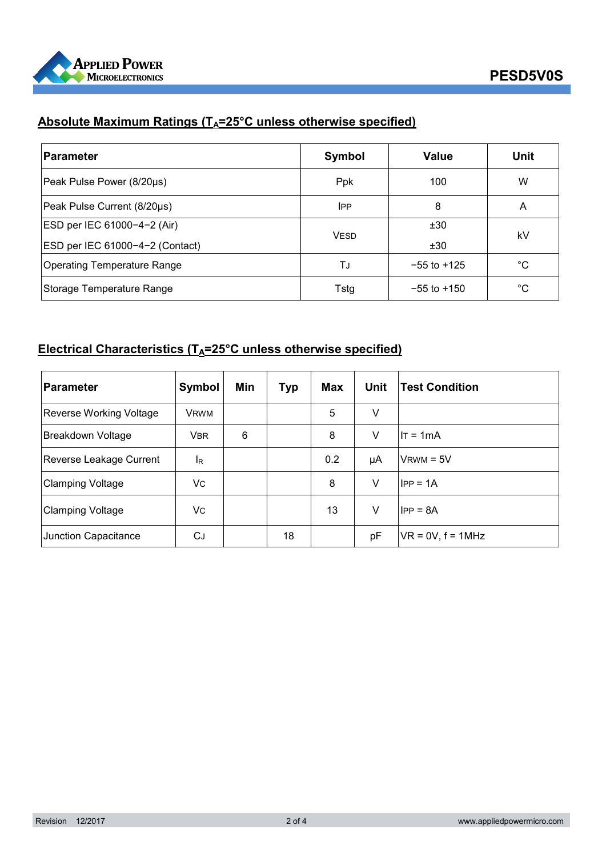

# **Absolute Maximum Ratings (T<sub>A</sub>=25°C unless otherwise specified)**

| <b>Parameter</b>                   | Symbol      | <b>Value</b>    | Unit |
|------------------------------------|-------------|-----------------|------|
| Peak Pulse Power (8/20µs)          | Ppk         | 100             | W    |
| Peak Pulse Current (8/20µs)        | <b>IPP</b>  | 8               | A    |
| ESD per IEC 61000-4-2 (Air)        |             | ±30             |      |
| ESD per IEC 61000-4-2 (Contact)    | <b>VESD</b> | ±30             | kV   |
| <b>Operating Temperature Range</b> | TJ          | $-55$ to $+125$ | °C   |
| Storage Temperature Range          | Tstg        | $-55$ to $+150$ | °C   |

## **Electrical Characteristics (TA=25°C unless otherwise specified)**

| <b>Parameter</b>        | Symbol         | Min | Typ | <b>Max</b> | Unit   | <b>Test Condition</b> |
|-------------------------|----------------|-----|-----|------------|--------|-----------------------|
| Reverse Working Voltage | <b>VRWM</b>    |     |     | 5          | $\vee$ |                       |
| Breakdown Voltage       | <b>VBR</b>     | 6   |     | 8          | ٧      | $IT = 1mA$            |
| Reverse Leakage Current | <sup>I</sup> R |     |     | 0.2        | μA     | $V$ RWM = $5V$        |
| <b>Clamping Voltage</b> | Vc             |     |     | 8          | V      | $IPP = 1A$            |
| <b>Clamping Voltage</b> | Vc             |     |     | 13         | V      | $IPP = 8A$            |
| Junction Capacitance    | СJ             |     | 18  |            | pF     | $VR = 0V, f = 1MHz$   |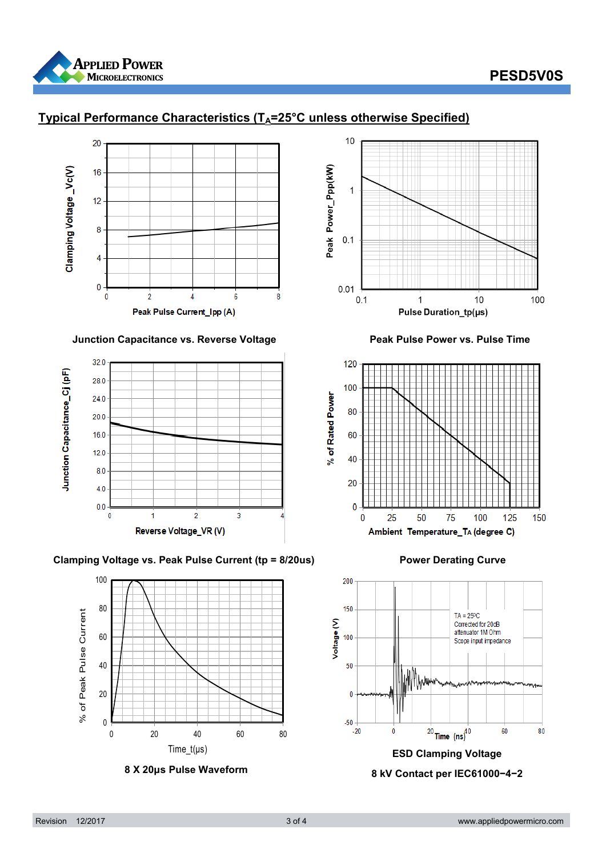

## **PESD5V0S**



## **Typical Performance Characteristics (TA=25°C unless otherwise Specified)**